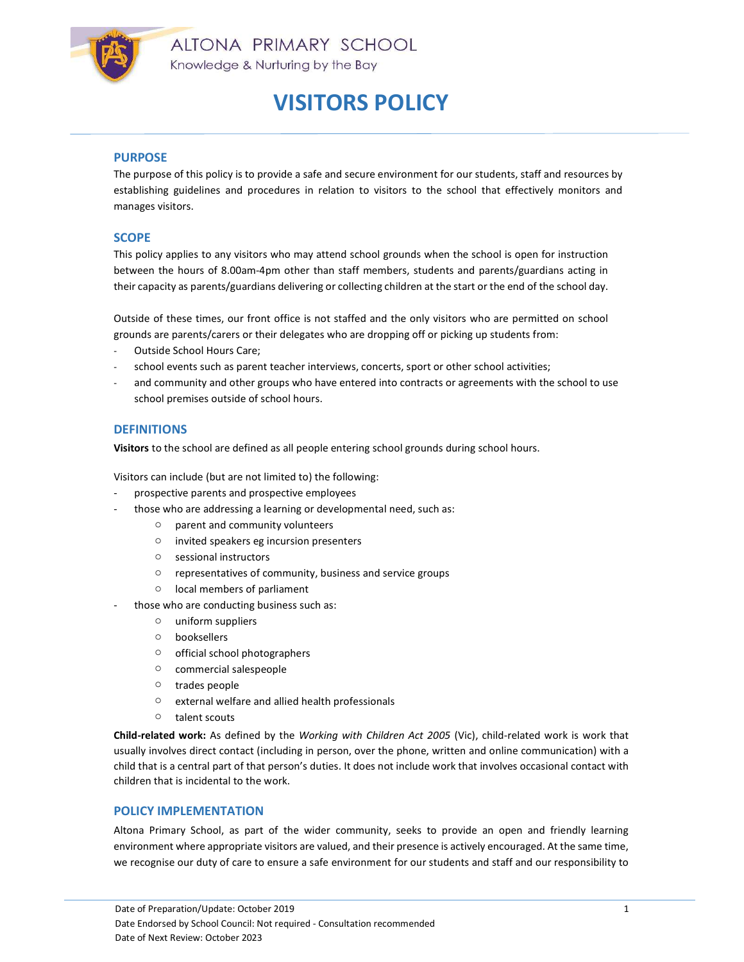

### PURPOSE

The purpose of this policy is to provide a safe and secure environment for our students, staff and resources by establishing guidelines and procedures in relation to visitors to the school that effectively monitors and manages visitors.

### **SCOPE**

This policy applies to any visitors who may attend school grounds when the school is open for instruction between the hours of 8.00am-4pm other than staff members, students and parents/guardians acting in their capacity as parents/guardians delivering or collecting children at the start or the end of the school day.

Outside of these times, our front office is not staffed and the only visitors who are permitted on school grounds are parents/carers or their delegates who are dropping off or picking up students from:

- Outside School Hours Care;
- school events such as parent teacher interviews, concerts, sport or other school activities;
- and community and other groups who have entered into contracts or agreements with the school to use school premises outside of school hours.

### **DEFINITIONS**

Visitors to the school are defined as all people entering school grounds during school hours.

Visitors can include (but are not limited to) the following:

- prospective parents and prospective employees
- those who are addressing a learning or developmental need, such as:
	- o parent and community volunteers
	- o invited speakers eg incursion presenters
	- o sessional instructors
	- o representatives of community, business and service groups
	- o local members of parliament
- those who are conducting business such as:
	- o uniform suppliers
	- o booksellers
	- o official school photographers
	- o commercial salespeople
	- o trades people
	- o external welfare and allied health professionals
	- o talent scouts

Child-related work: As defined by the Working with Children Act 2005 (Vic), child-related work is work that usually involves direct contact (including in person, over the phone, written and online communication) with a child that is a central part of that person's duties. It does not include work that involves occasional contact with children that is incidental to the work.

### POLICY IMPLEMENTATION

Altona Primary School, as part of the wider community, seeks to provide an open and friendly learning environment where appropriate visitors are valued, and their presence is actively encouraged. At the same time, we recognise our duty of care to ensure a safe environment for our students and staff and our responsibility to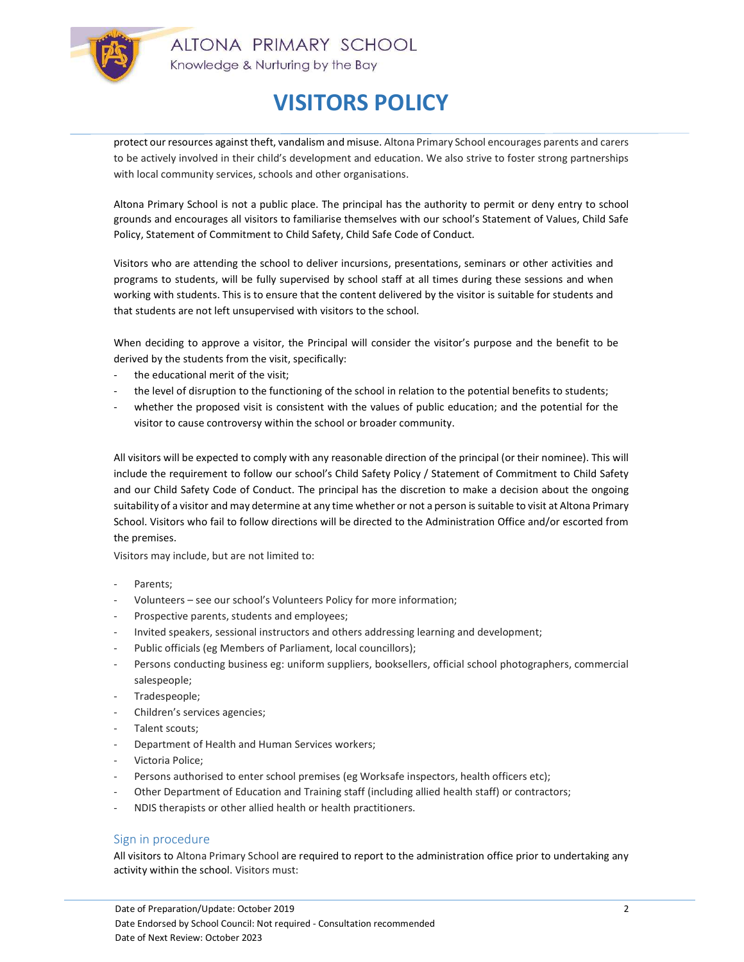

protect our resources against theft, vandalism and misuse. Altona Primary School encourages parents and carers to be actively involved in their child's development and education. We also strive to foster strong partnerships with local community services, schools and other organisations.

Altona Primary School is not a public place. The principal has the authority to permit or deny entry to school grounds and encourages all visitors to familiarise themselves with our school's Statement of Values, Child Safe Policy, Statement of Commitment to Child Safety, Child Safe Code of Conduct.

Visitors who are attending the school to deliver incursions, presentations, seminars or other activities and programs to students, will be fully supervised by school staff at all times during these sessions and when working with students. This is to ensure that the content delivered by the visitor is suitable for students and that students are not left unsupervised with visitors to the school.

When deciding to approve a visitor, the Principal will consider the visitor's purpose and the benefit to be derived by the students from the visit, specifically:

- the educational merit of the visit;
- the level of disruption to the functioning of the school in relation to the potential benefits to students;
- whether the proposed visit is consistent with the values of public education; and the potential for the visitor to cause controversy within the school or broader community.

All visitors will be expected to comply with any reasonable direction of the principal (or their nominee). This will include the requirement to follow our school's Child Safety Policy / Statement of Commitment to Child Safety and our Child Safety Code of Conduct. The principal has the discretion to make a decision about the ongoing suitability of a visitor and may determine at any time whether or not a person is suitable to visit at Altona Primary School. Visitors who fail to follow directions will be directed to the Administration Office and/or escorted from the premises.

Visitors may include, but are not limited to:

- Parents:
- Volunteers see our school's Volunteers Policy for more information;
- Prospective parents, students and employees;
- Invited speakers, sessional instructors and others addressing learning and development;
- Public officials (eg Members of Parliament, local councillors);
- Persons conducting business eg: uniform suppliers, booksellers, official school photographers, commercial salespeople;
- Tradespeople;
- Children's services agencies;
- Talent scouts;
- Department of Health and Human Services workers;
- Victoria Police;
- Persons authorised to enter school premises (eg Worksafe inspectors, health officers etc);
- Other Department of Education and Training staff (including allied health staff) or contractors;
- NDIS therapists or other allied health or health practitioners.

### Sign in procedure

All visitors to Altona Primary School are required to report to the administration office prior to undertaking any activity within the school. Visitors must: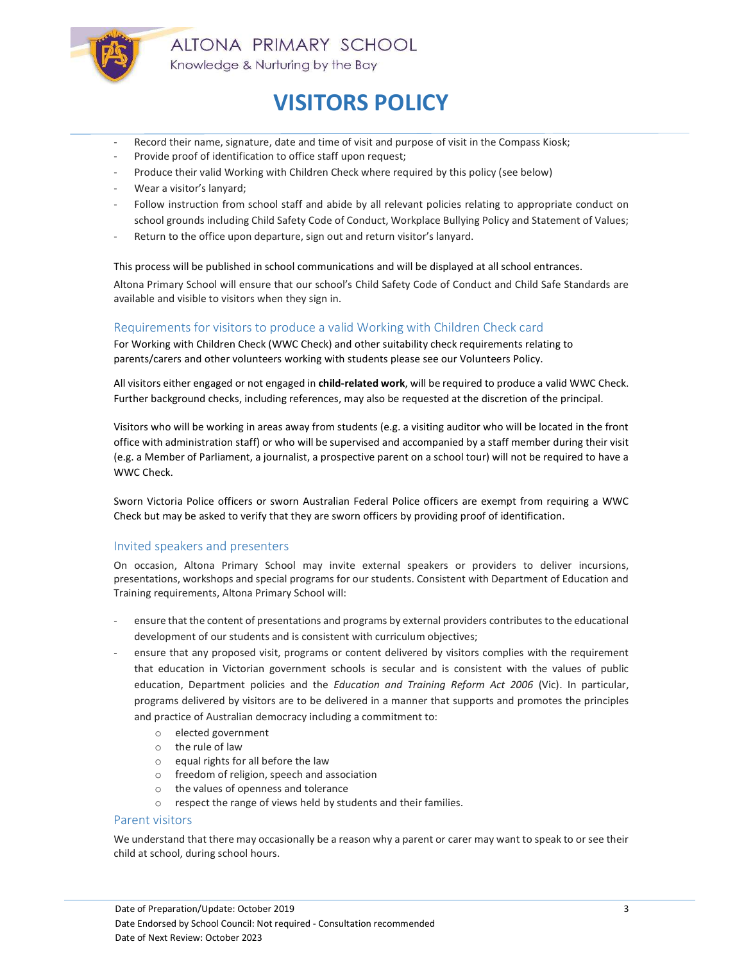

- Record their name, signature, date and time of visit and purpose of visit in the Compass Kiosk;
- Provide proof of identification to office staff upon request;
- Produce their valid Working with Children Check where required by this policy (see below)
- Wear a visitor's lanyard;
- Follow instruction from school staff and abide by all relevant policies relating to appropriate conduct on school grounds including Child Safety Code of Conduct, Workplace Bullying Policy and Statement of Values;
- Return to the office upon departure, sign out and return visitor's lanyard.

This process will be published in school communications and will be displayed at all school entrances.

Altona Primary School will ensure that our school's Child Safety Code of Conduct and Child Safe Standards are available and visible to visitors when they sign in.

### Requirements for visitors to produce a valid Working with Children Check card

For Working with Children Check (WWC Check) and other suitability check requirements relating to parents/carers and other volunteers working with students please see our Volunteers Policy.

All visitors either engaged or not engaged in child-related work, will be required to produce a valid WWC Check. Further background checks, including references, may also be requested at the discretion of the principal.

Visitors who will be working in areas away from students (e.g. a visiting auditor who will be located in the front office with administration staff) or who will be supervised and accompanied by a staff member during their visit (e.g. a Member of Parliament, a journalist, a prospective parent on a school tour) will not be required to have a WWC Check.

Sworn Victoria Police officers or sworn Australian Federal Police officers are exempt from requiring a WWC Check but may be asked to verify that they are sworn officers by providing proof of identification.

### Invited speakers and presenters

On occasion, Altona Primary School may invite external speakers or providers to deliver incursions, presentations, workshops and special programs for our students. Consistent with Department of Education and Training requirements, Altona Primary School will:

- ensure that the content of presentations and programs by external providers contributes to the educational development of our students and is consistent with curriculum objectives;
- ensure that any proposed visit, programs or content delivered by visitors complies with the requirement that education in Victorian government schools is secular and is consistent with the values of public education, Department policies and the *Education and Training Reform Act 2006* (Vic). In particular, programs delivered by visitors are to be delivered in a manner that supports and promotes the principles and practice of Australian democracy including a commitment to:
	- o elected government
	- o the rule of law
	- o equal rights for all before the law
	- o freedom of religion, speech and association
	- o the values of openness and tolerance
	- o respect the range of views held by students and their families.

### Parent visitors

We understand that there may occasionally be a reason why a parent or carer may want to speak to or see their child at school, during school hours.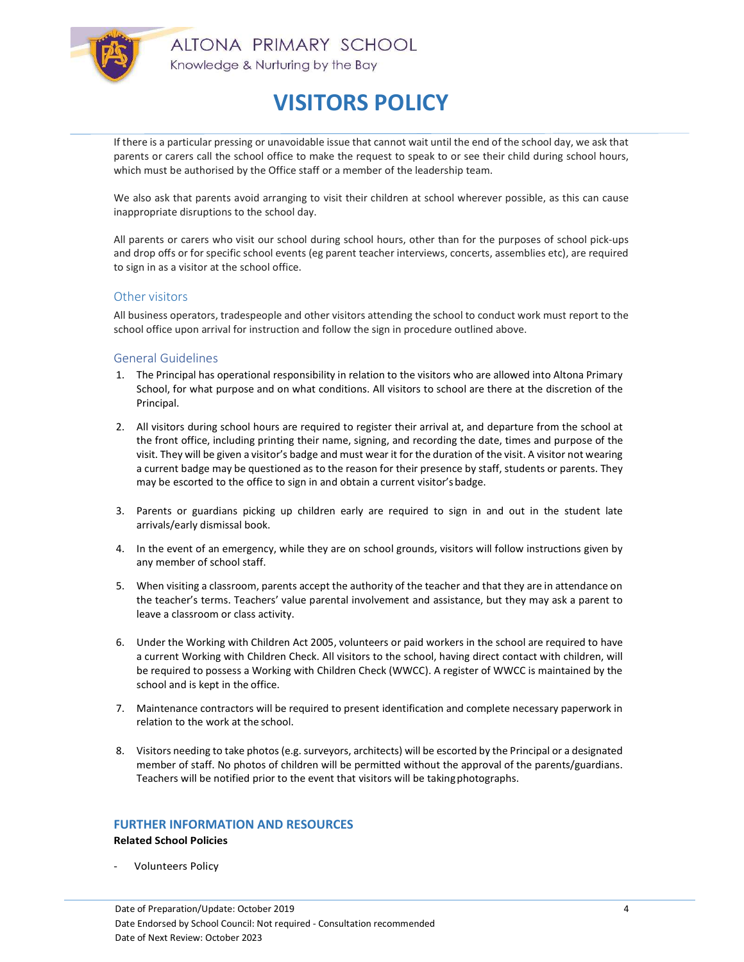

If there is a particular pressing or unavoidable issue that cannot wait until the end of the school day, we ask that parents or carers call the school office to make the request to speak to or see their child during school hours, which must be authorised by the Office staff or a member of the leadership team.

We also ask that parents avoid arranging to visit their children at school wherever possible, as this can cause inappropriate disruptions to the school day.

All parents or carers who visit our school during school hours, other than for the purposes of school pick-ups and drop offs or for specific school events (eg parent teacher interviews, concerts, assemblies etc), are required to sign in as a visitor at the school office.

### Other visitors

All business operators, tradespeople and other visitors attending the school to conduct work must report to the school office upon arrival for instruction and follow the sign in procedure outlined above.

#### General Guidelines

- 1. The Principal has operational responsibility in relation to the visitors who are allowed into Altona Primary School, for what purpose and on what conditions. All visitors to school are there at the discretion of the Principal.
- 2. All visitors during school hours are required to register their arrival at, and departure from the school at the front office, including printing their name, signing, and recording the date, times and purpose of the visit. They will be given a visitor's badge and must wear it for the duration of the visit. A visitor not wearing a current badge may be questioned as to the reason for their presence by staff, students or parents. They may be escorted to the office to sign in and obtain a current visitor's badge.
- 3. Parents or guardians picking up children early are required to sign in and out in the student late arrivals/early dismissal book.
- 4. In the event of an emergency, while they are on school grounds, visitors will follow instructions given by any member of school staff.
- 5. When visiting a classroom, parents accept the authority of the teacher and that they are in attendance on the teacher's terms. Teachers' value parental involvement and assistance, but they may ask a parent to leave a classroom or class activity.
- 6. Under the Working with Children Act 2005, volunteers or paid workers in the school are required to have a current Working with Children Check. All visitors to the school, having direct contact with children, will be required to possess a Working with Children Check (WWCC). A register of WWCC is maintained by the school and is kept in the office.
- 7. Maintenance contractors will be required to present identification and complete necessary paperwork in relation to the work at the school.
- 8. Visitors needing to take photos (e.g. surveyors, architects) will be escorted by the Principal or a designated member of staff. No photos of children will be permitted without the approval of the parents/guardians. Teachers will be notified prior to the event that visitors will be taking photographs.

#### FURTHER INFORMATION AND RESOURCES

Related School Policies

Volunteers Policy